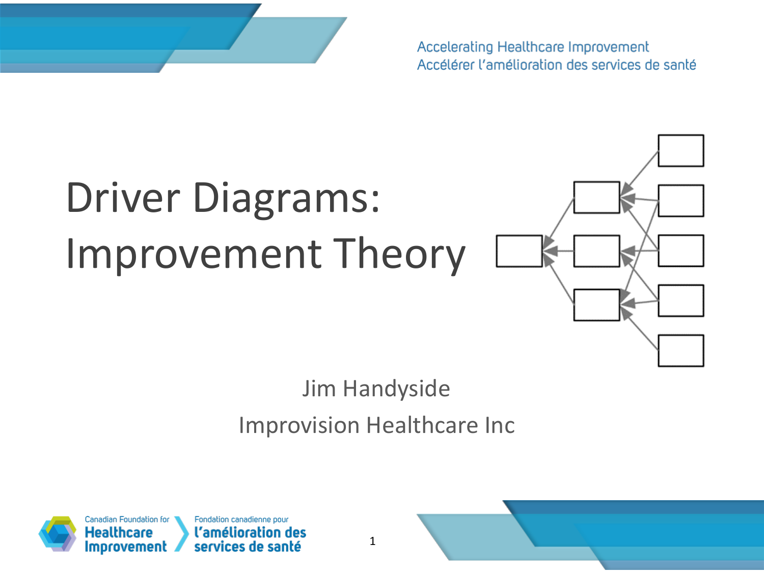

Accelerating Healthcare Improvement Accélérer l'amélioration des services de santé

# Driver Diagrams: Improvement Theory



#### Jim Handyside Improvision Healthcare Inc



1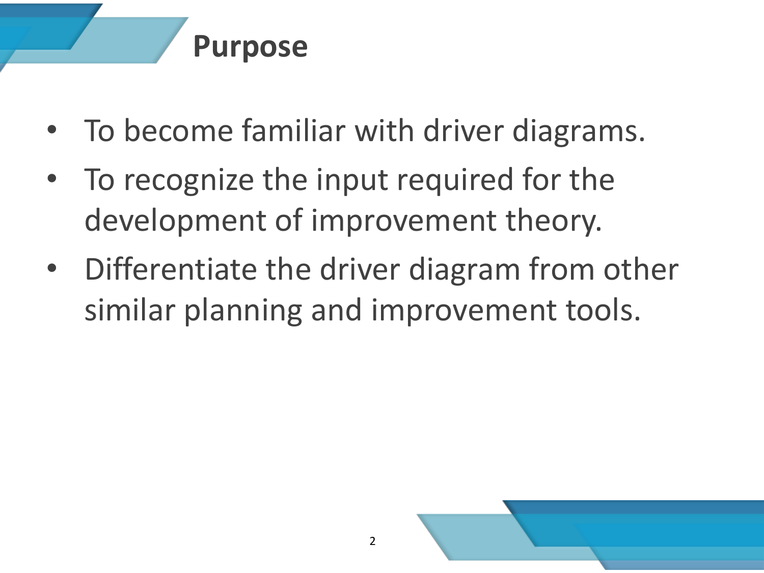# **Purpose**

- To become familiar with driver diagrams.
- To recognize the input required for the development of improvement theory.
- Differentiate the driver diagram from other similar planning and improvement tools.

2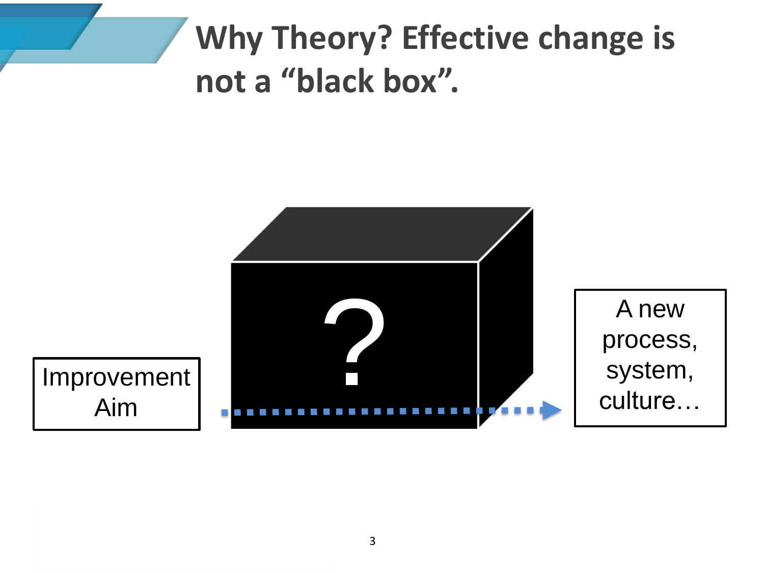# **Why Theory? Effective change is not a "black box".**

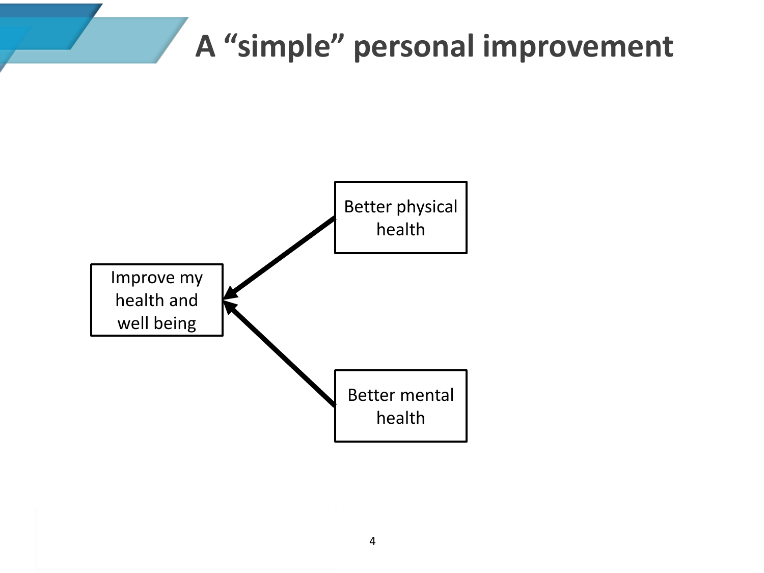### **A "simple" personal improvement**

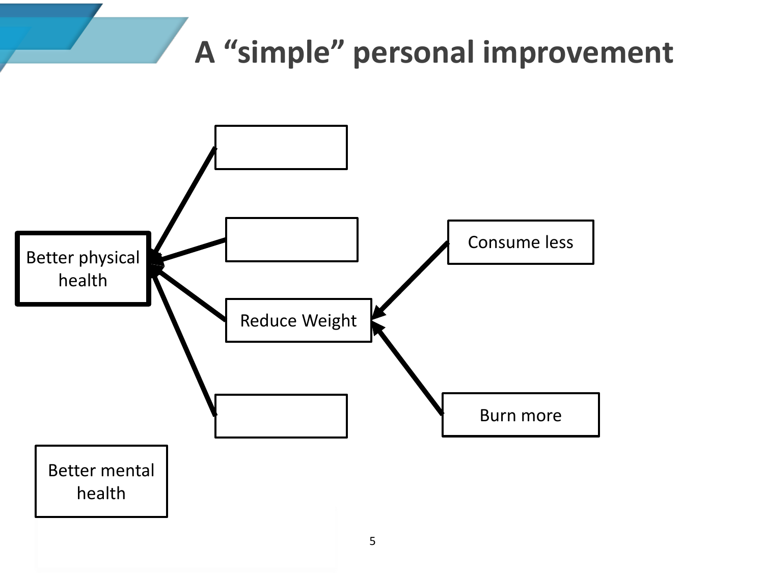# **A "simple" personal improvement**

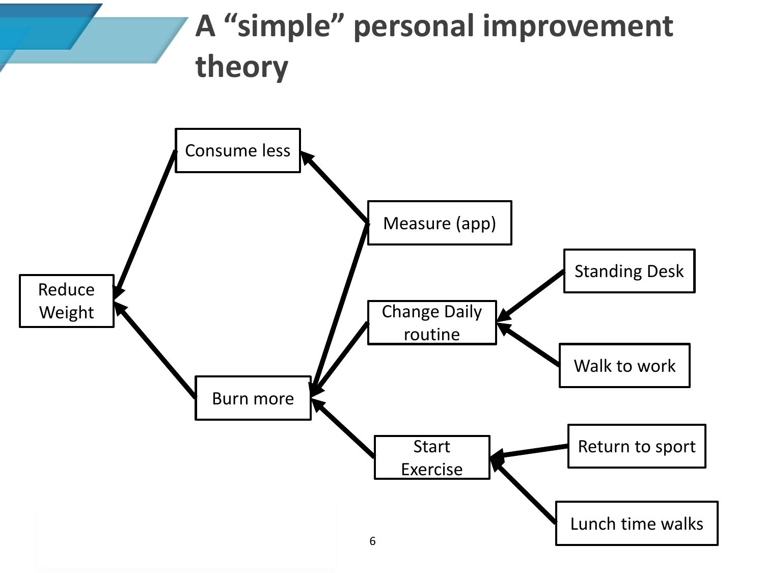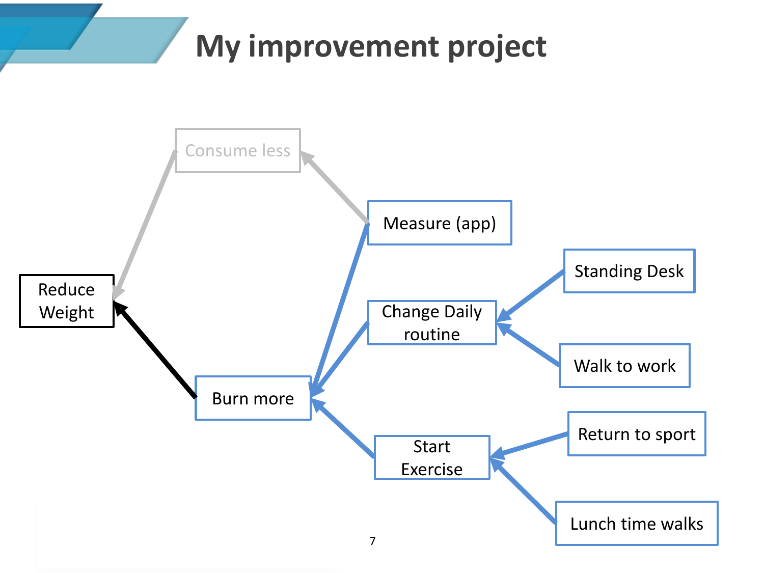# **My improvement project**

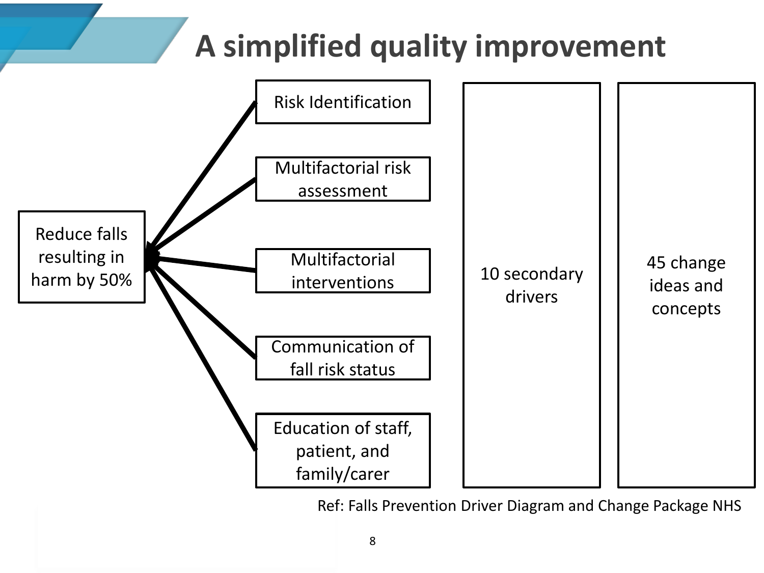# **A simplified quality improvement**



Ref: Falls Prevention Driver Diagram and Change Package NHS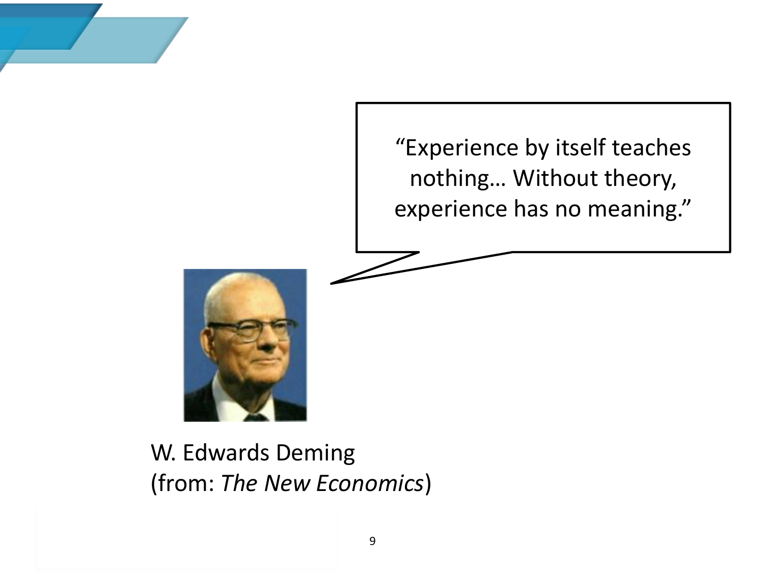



W. Edwards Deming (from: *The New Economics*)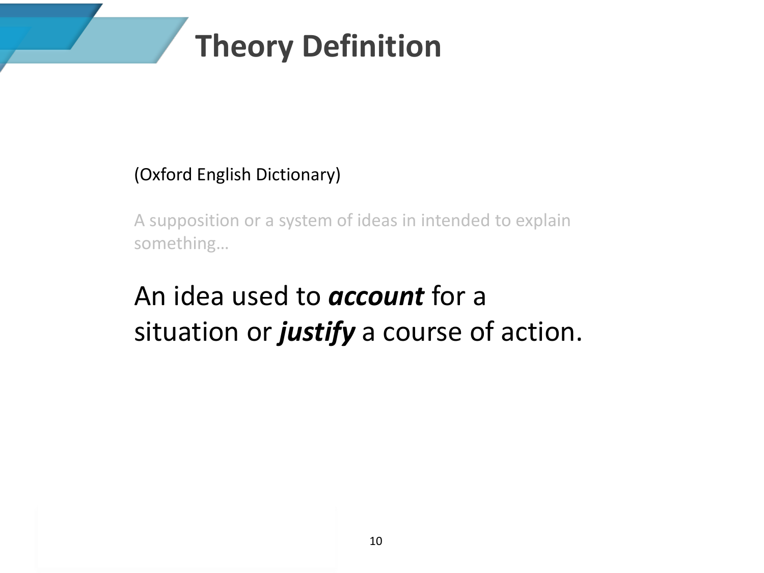# **Theory Definition**

#### (Oxford English Dictionary)

A supposition or a system of ideas in intended to explain something…

#### An idea used to *account* for a situation or *justify* a course of action.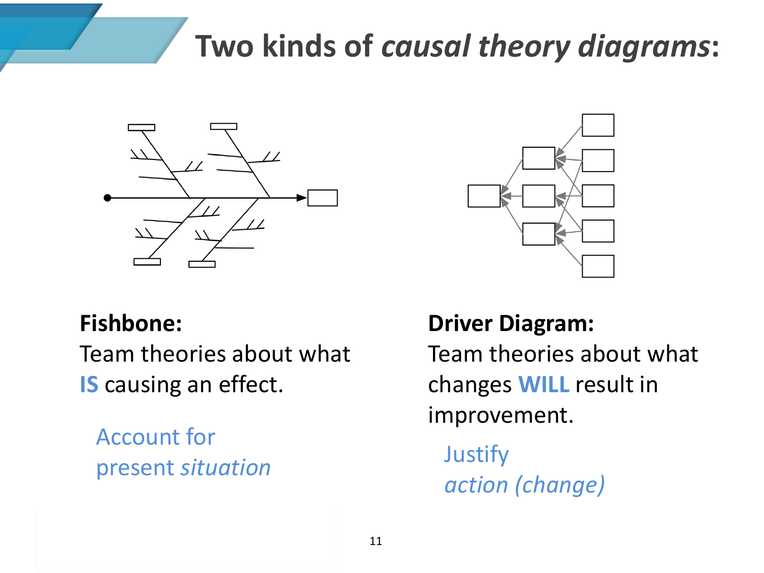### **Two kinds of** *causal theory diagrams***:**



#### **Fishbone:**

Team theories about what **IS** causing an effect.

Account for present *situation* Justify



**Driver Diagram:** Team theories about what changes **WILL** result in improvement.

*action (change)*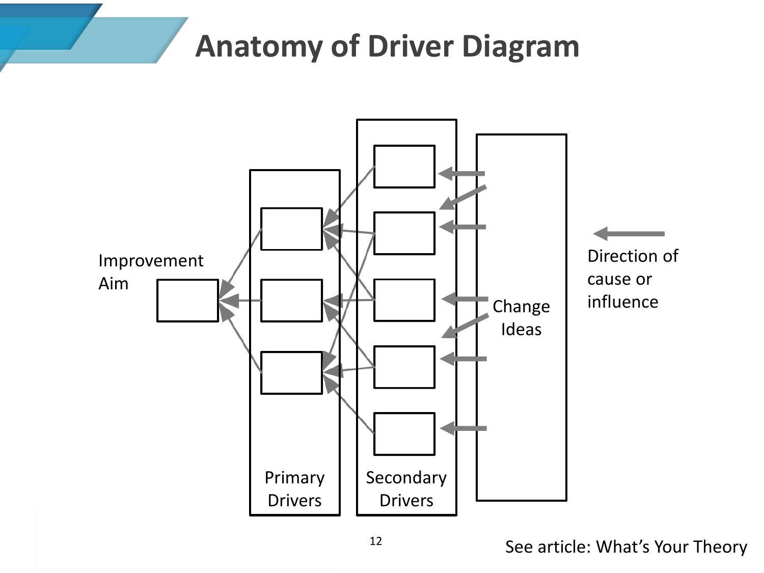#### **Anatomy of Driver Diagram**

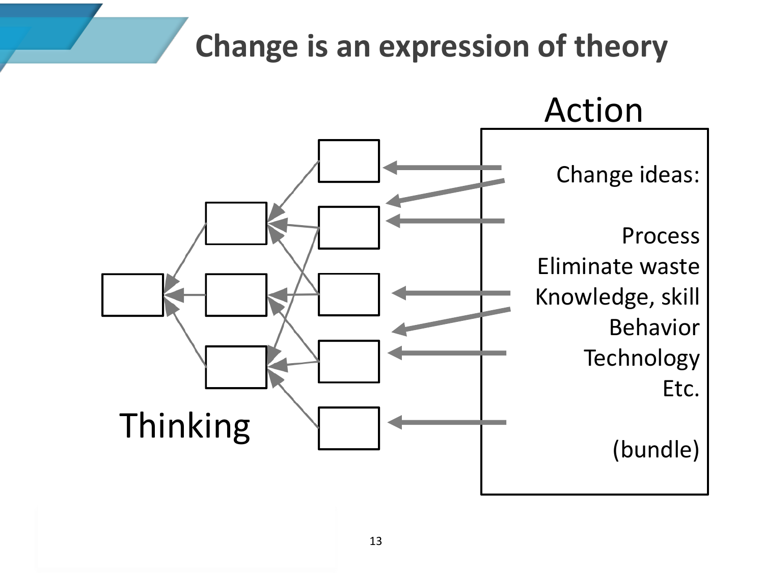# **Change is an expression of theory**

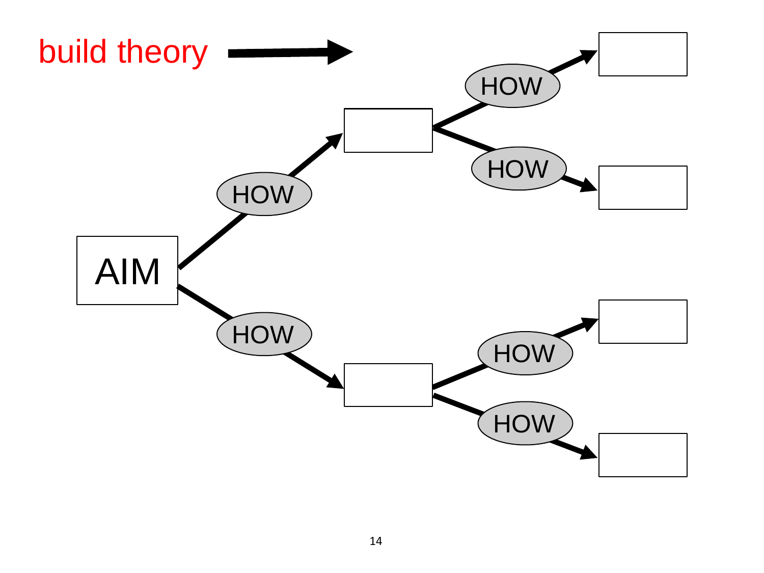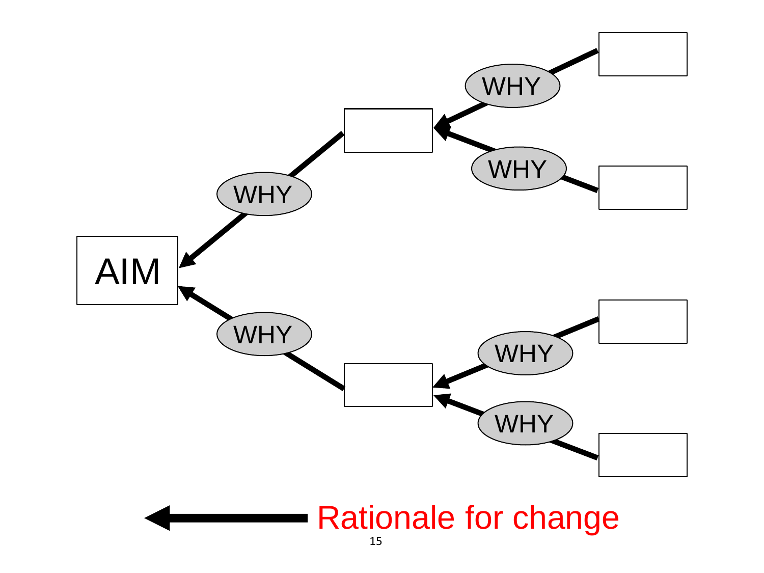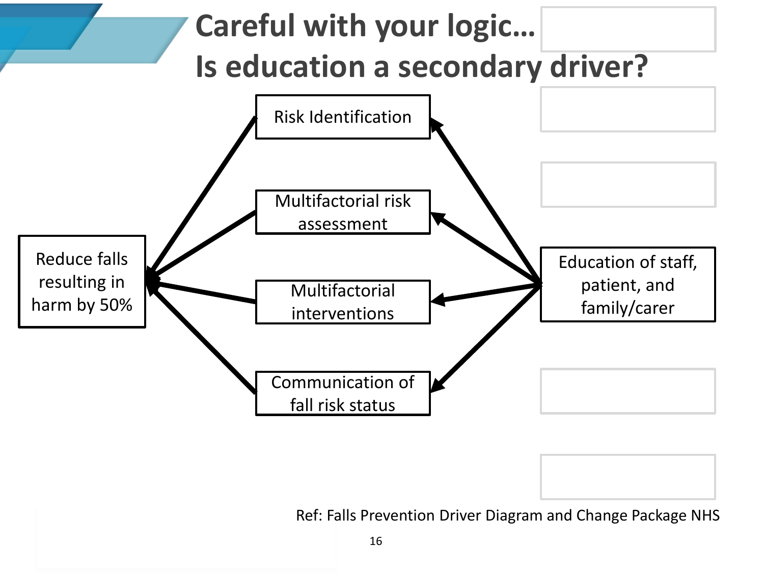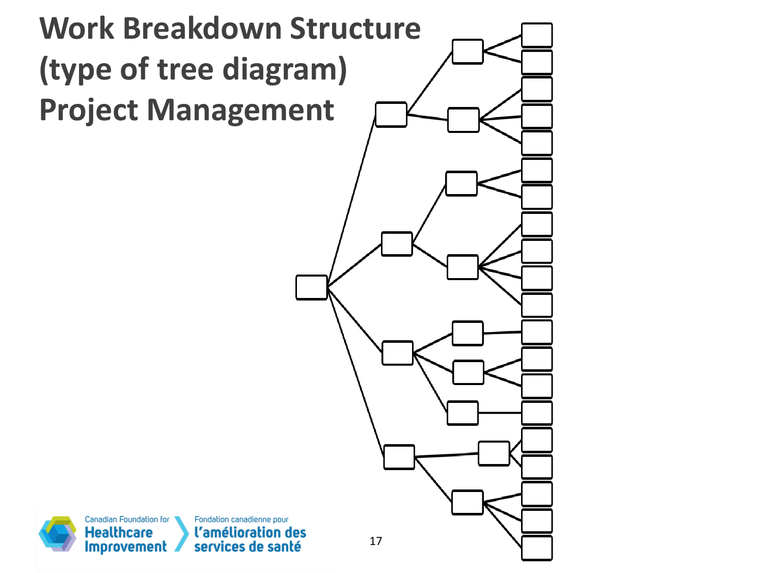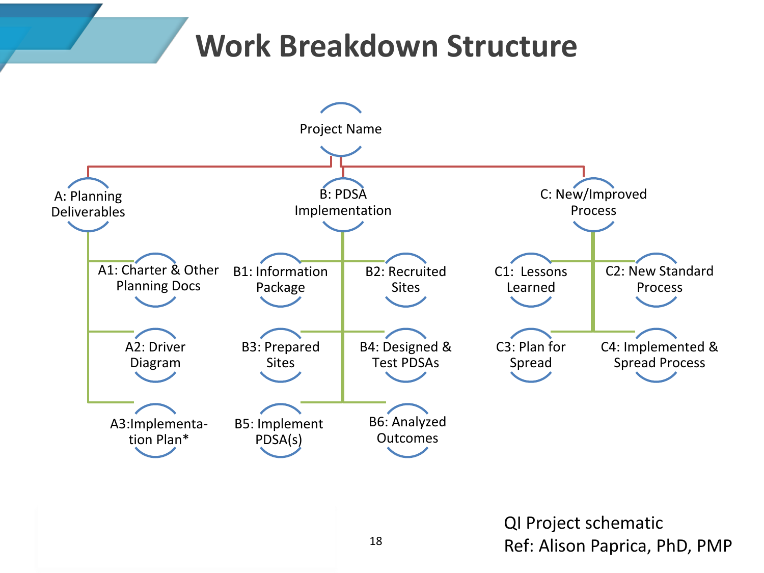#### **Work Breakdown Structure**



QI Project schematic 18 Ref: Alison Paprica, PhD, PMP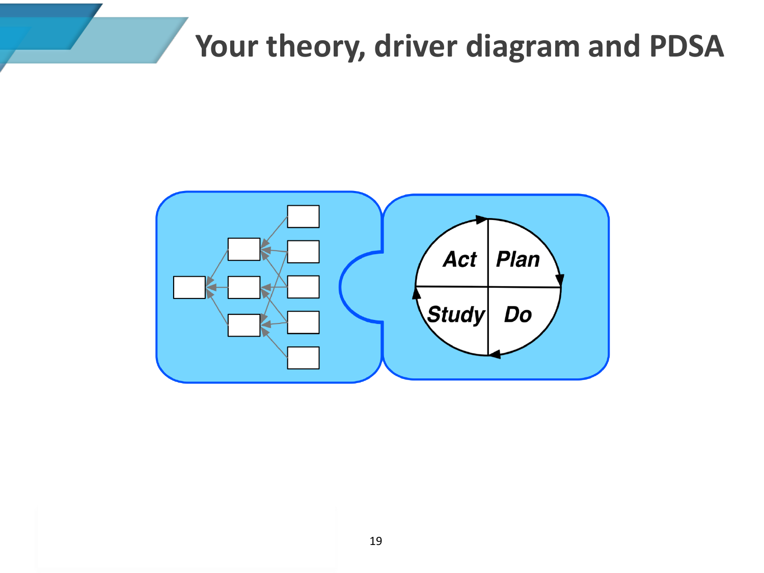#### **Your theory, driver diagram and PDSA**

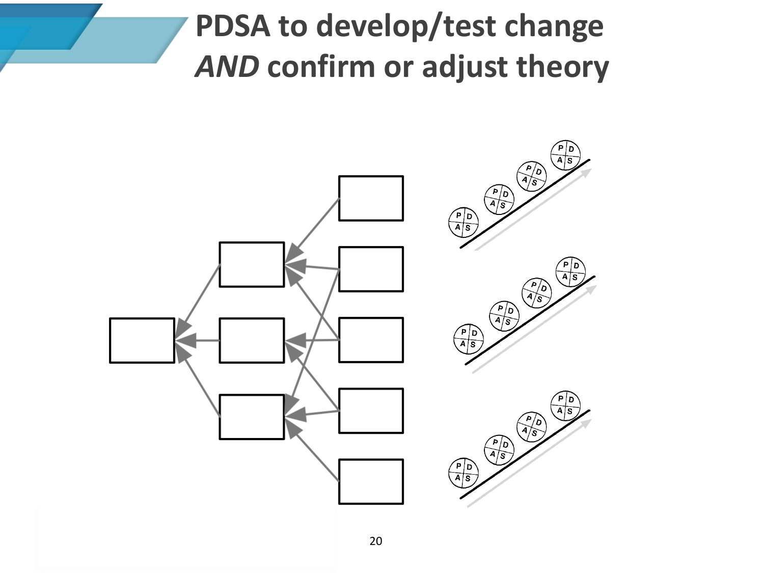# **PDSA to develop/test change**  *AND* **confirm or adjust theory**

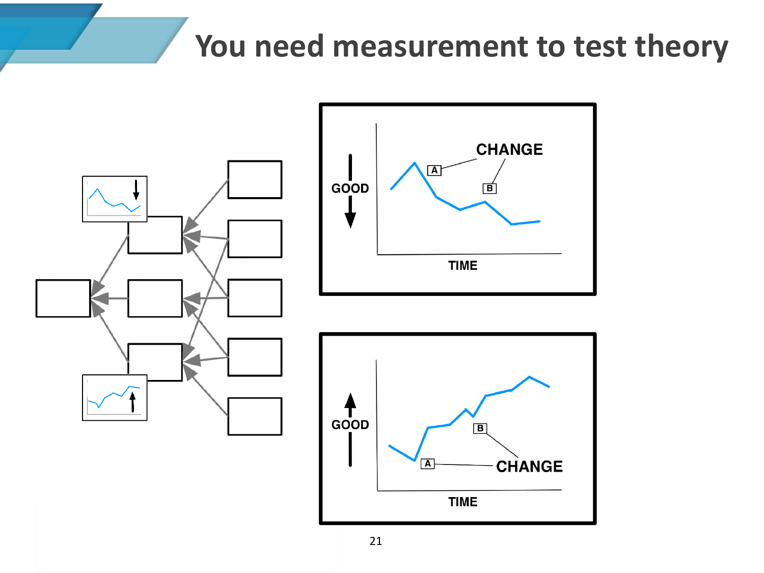### **You need measurement to test theory**

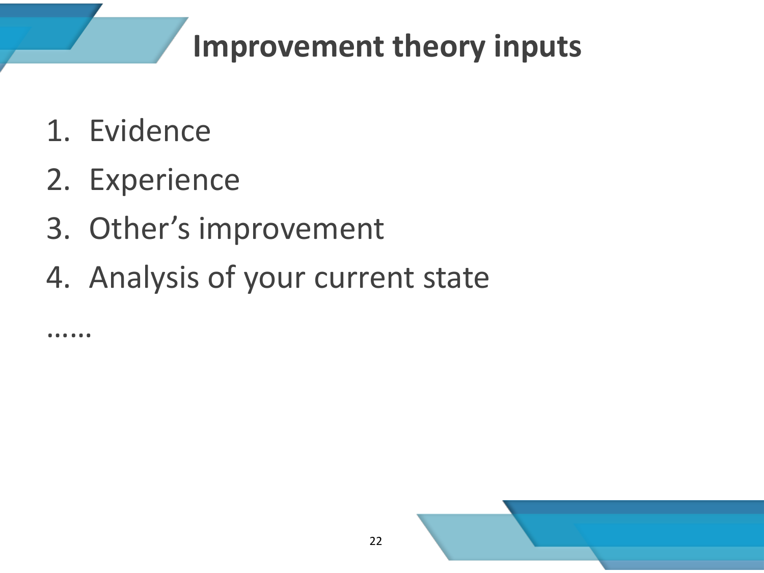## **Improvement theory inputs**

22

- 1. Evidence
- 2. Experience
- 3. Other's improvement
- 4. Analysis of your current state

……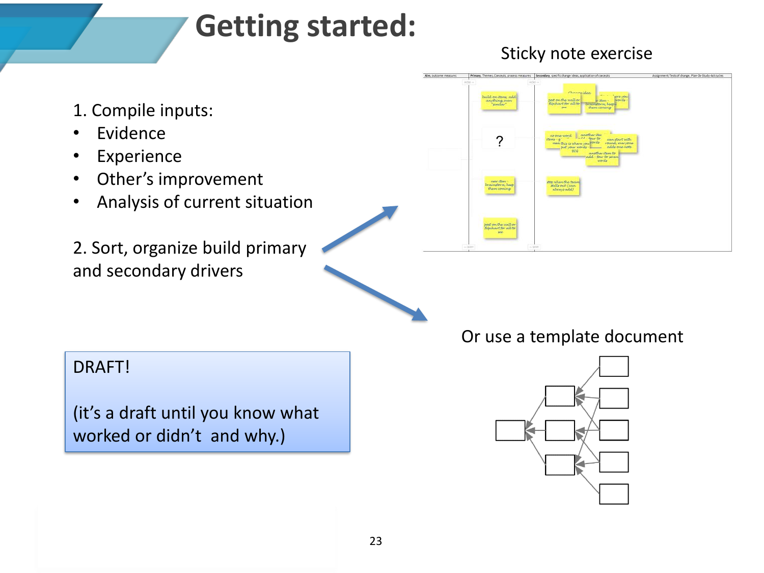#### **Getting started:**

#### Sticky note exercise

- 1. Compile inputs:
- **Evidence**
- Experience
- Other's improvement
- Analysis of current situation
- 2. Sort, organize build primary and secondary drivers

| HOM<br>$H(26)$ $m$<br>chanagidea<br><b>COLLEGE</b><br>"jere-you)<br>build on items add.<br>post on the wall or<br>words<br>anything even<br>"Kmilar"<br>ar item :-<br>flipchart for all to arainstorm, keep is<br>them coming-<br><b>See</b><br>another the<br>no one-word<br>items - a<br>can start with<br>men this is where you won'ts<br>round, everyone-<br>adds one note<br>put your words<br><b>SIG</b><br>another stem to<br>add four to seven<br>atrious<br>mow diamon<br>top when the team<br>Italis out (can<br>Invaicutorm, heep<br>Вым соміна<br>alwaysadd).<br>post on the well or<br>see<br>-WHT | Aim, outcome measures | Primary, Themes, Concepts, process measures   Secondary, specific change ideas, application of concepts | Assignment; Testsof change, Plan-Do-Study-Actiovales |
|-----------------------------------------------------------------------------------------------------------------------------------------------------------------------------------------------------------------------------------------------------------------------------------------------------------------------------------------------------------------------------------------------------------------------------------------------------------------------------------------------------------------------------------------------------------------------------------------------------------------|-----------------------|---------------------------------------------------------------------------------------------------------|------------------------------------------------------|
|                                                                                                                                                                                                                                                                                                                                                                                                                                                                                                                                                                                                                 |                       |                                                                                                         |                                                      |
|                                                                                                                                                                                                                                                                                                                                                                                                                                                                                                                                                                                                                 |                       |                                                                                                         |                                                      |
|                                                                                                                                                                                                                                                                                                                                                                                                                                                                                                                                                                                                                 |                       |                                                                                                         |                                                      |
|                                                                                                                                                                                                                                                                                                                                                                                                                                                                                                                                                                                                                 |                       |                                                                                                         |                                                      |
|                                                                                                                                                                                                                                                                                                                                                                                                                                                                                                                                                                                                                 |                       |                                                                                                         |                                                      |
|                                                                                                                                                                                                                                                                                                                                                                                                                                                                                                                                                                                                                 |                       |                                                                                                         |                                                      |
|                                                                                                                                                                                                                                                                                                                                                                                                                                                                                                                                                                                                                 |                       |                                                                                                         |                                                      |
|                                                                                                                                                                                                                                                                                                                                                                                                                                                                                                                                                                                                                 |                       |                                                                                                         |                                                      |
|                                                                                                                                                                                                                                                                                                                                                                                                                                                                                                                                                                                                                 |                       |                                                                                                         |                                                      |
|                                                                                                                                                                                                                                                                                                                                                                                                                                                                                                                                                                                                                 |                       |                                                                                                         |                                                      |
|                                                                                                                                                                                                                                                                                                                                                                                                                                                                                                                                                                                                                 |                       |                                                                                                         |                                                      |
|                                                                                                                                                                                                                                                                                                                                                                                                                                                                                                                                                                                                                 |                       |                                                                                                         |                                                      |
|                                                                                                                                                                                                                                                                                                                                                                                                                                                                                                                                                                                                                 |                       |                                                                                                         |                                                      |
|                                                                                                                                                                                                                                                                                                                                                                                                                                                                                                                                                                                                                 |                       | $\leftrightarrow$ WHY                                                                                   |                                                      |

DRAFT!

(it's a draft until you know what worked or didn't and why.)